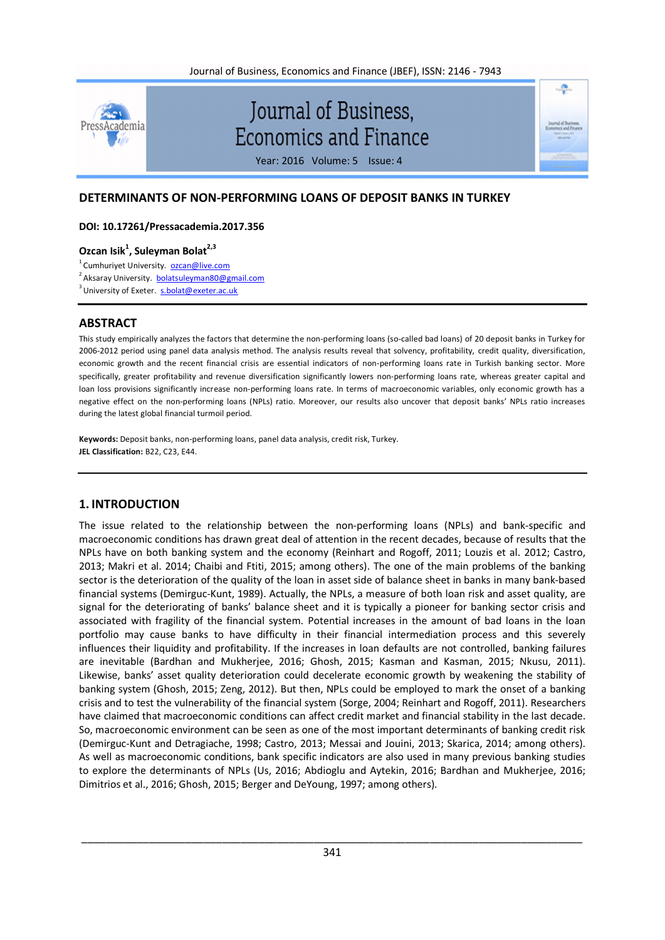

## **DETERMINANTS OF NON-PERFORMING LOANS OF DEPOSIT BANKS IN TURKEY**

### **DOI: 10.17261/Pressacademia.2017.356**

## **Ozcan Isik<sup>1</sup> , Suleyman Bolat2,3**

<sup>1</sup> Cumhuriyet University. **ozcan@live.com** 

<sup>2</sup> Aksaray University. <u>bolatsuleyman80@gmail.com</u>

<sup>3</sup> University of Exeter. s.bolat@exeter.ac.uk

## **ABSTRACT**

This study empirically analyzes the factors that determine the non-performing loans (so-called bad loans) of 20 deposit banks in Turkey for 2006-2012 period using panel data analysis method. The analysis results reveal that solvency, profitability, credit quality, diversification, economic growth and the recent financial crisis are essential indicators of non-performing loans rate in Turkish banking sector. More specifically, greater profitability and revenue diversification significantly lowers non-performing loans rate, whereas greater capital and loan loss provisions significantly increase non-performing loans rate. In terms of macroeconomic variables, only economic growth has a negative effect on the non-performing loans (NPLs) ratio. Moreover, our results also uncover that deposit banks' NPLs ratio increases during the latest global financial turmoil period.

**Keywords:** Deposit banks, non-performing loans, panel data analysis, credit risk, Turkey. **JEL Classification:** B22, C23, E44.

## **1. INTRODUCTION**

The issue related to the relationship between the non-performing loans (NPLs) and bank-specific and macroeconomic conditions has drawn great deal of attention in the recent decades, because of results that the NPLs have on both banking system and the economy (Reinhart and Rogoff, 2011; Louzis et al. 2012; Castro, 2013; Makri et al. 2014; Chaibi and Ftiti, 2015; among others). The one of the main problems of the banking sector is the deterioration of the quality of the loan in asset side of balance sheet in banks in many bank-based financial systems (Demirguc-Kunt, 1989). Actually, the NPLs, a measure of both loan risk and asset quality, are signal for the deteriorating of banks' balance sheet and it is typically a pioneer for banking sector crisis and associated with fragility of the financial system. Potential increases in the amount of bad loans in the loan portfolio may cause banks to have difficulty in their financial intermediation process and this severely influences their liquidity and profitability. If the increases in loan defaults are not controlled, banking failures are inevitable (Bardhan and Mukherjee, 2016; Ghosh, 2015; Kasman and Kasman, 2015; Nkusu, 2011). Likewise, banks' asset quality deterioration could decelerate economic growth by weakening the stability of banking system (Ghosh, 2015; Zeng, 2012). But then, NPLs could be employed to mark the onset of a banking crisis and to test the vulnerability of the financial system (Sorge, 2004; Reinhart and Rogoff, 2011). Researchers have claimed that macroeconomic conditions can affect credit market and financial stability in the last decade. So, macroeconomic environment can be seen as one of the most important determinants of banking credit risk (Demirguc-Kunt and Detragiache, 1998; Castro, 2013; Messai and Jouini, 2013; Skarica, 2014; among others). As well as macroeconomic conditions, bank specific indicators are also used in many previous banking studies to explore the determinants of NPLs (Us, 2016; Abdioglu and Aytekin, 2016; Bardhan and Mukherjee, 2016; Dimitrios et al., 2016; Ghosh, 2015; Berger and DeYoung, 1997; among others).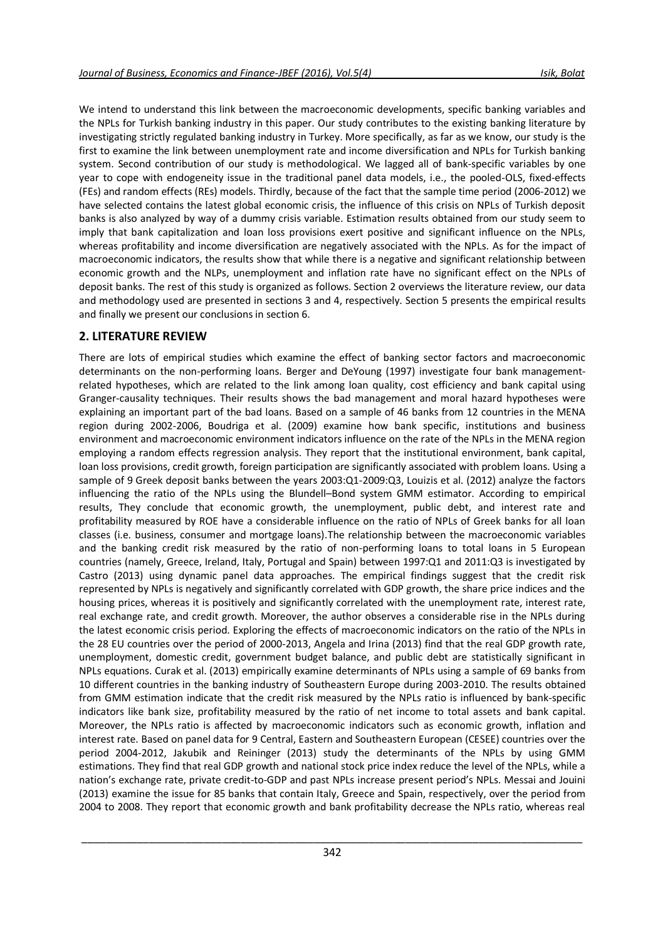We intend to understand this link between the macroeconomic developments, specific banking variables and the NPLs for Turkish banking industry in this paper. Our study contributes to the existing banking literature by investigating strictly regulated banking industry in Turkey. More specifically, as far as we know, our study is the first to examine the link between unemployment rate and income diversification and NPLs for Turkish banking system. Second contribution of our study is methodological. We lagged all of bank-specific variables by one year to cope with endogeneity issue in the traditional panel data models, i.e., the pooled-OLS, fixed-effects (FEs) and random effects (REs) models. Thirdly, because of the fact that the sample time period (2006-2012) we have selected contains the latest global economic crisis, the influence of this crisis on NPLs of Turkish deposit banks is also analyzed by way of a dummy crisis variable. Estimation results obtained from our study seem to imply that bank capitalization and loan loss provisions exert positive and significant influence on the NPLs, whereas profitability and income diversification are negatively associated with the NPLs. As for the impact of macroeconomic indicators, the results show that while there is a negative and significant relationship between economic growth and the NLPs, unemployment and inflation rate have no significant effect on the NPLs of deposit banks. The rest of this study is organized as follows. Section 2 overviews the literature review, our data and methodology used are presented in sections 3 and 4, respectively. Section 5 presents the empirical results and finally we present our conclusions in section 6.

### **2. LITERATURE REVIEW**

There are lots of empirical studies which examine the effect of banking sector factors and macroeconomic determinants on the non-performing loans. Berger and DeYoung (1997) investigate four bank managementrelated hypotheses, which are related to the link among loan quality, cost efficiency and bank capital using Granger-causality techniques. Their results shows the bad management and moral hazard hypotheses were explaining an important part of the bad loans. Based on a sample of 46 banks from 12 countries in the MENA region during 2002-2006, Boudriga et al. (2009) examine how bank specific, institutions and business environment and macroeconomic environment indicators influence on the rate of the NPLs in the MENA region employing a random effects regression analysis. They report that the institutional environment, bank capital, loan loss provisions, credit growth, foreign participation are significantly associated with problem loans. Using a sample of 9 Greek deposit banks between the years 2003:Q1-2009:Q3, Louizis et al. (2012) analyze the factors influencing the ratio of the NPLs using the Blundell–Bond system GMM estimator. According to empirical results, They conclude that economic growth, the unemployment, public debt, and interest rate and profitability measured by ROE have a considerable influence on the ratio of NPLs of Greek banks for all loan classes (i.e. business, consumer and mortgage loans).The relationship between the macroeconomic variables and the banking credit risk measured by the ratio of non-performing loans to total loans in 5 European countries (namely, Greece, Ireland, Italy, Portugal and Spain) between 1997:Q1 and 2011:Q3 is investigated by Castro (2013) using dynamic panel data approaches. The empirical findings suggest that the credit risk represented by NPLs is negatively and significantly correlated with GDP growth, the share price indices and the housing prices, whereas it is positively and significantly correlated with the unemployment rate, interest rate, real exchange rate, and credit growth. Moreover, the author observes a considerable rise in the NPLs during the latest economic crisis period. Exploring the effects of macroeconomic indicators on the ratio of the NPLs in the 28 EU countries over the period of 2000-2013, Angela and Irina (2013) find that the real GDP growth rate, unemployment, domestic credit, government budget balance, and public debt are statistically significant in NPLs equations. Curak et al. (2013) empirically examine determinants of NPLs using a sample of 69 banks from 10 different countries in the banking industry of Southeastern Europe during 2003-2010. The results obtained from GMM estimation indicate that the credit risk measured by the NPLs ratio is influenced by bank-specific indicators like bank size, profitability measured by the ratio of net income to total assets and bank capital. Moreover, the NPLs ratio is affected by macroeconomic indicators such as economic growth, inflation and interest rate. Based on panel data for 9 Central, Eastern and Southeastern European (CESEE) countries over the period 2004-2012, Jakubik and Reininger (2013) study the determinants of the NPLs by using GMM estimations. They find that real GDP growth and national stock price index reduce the level of the NPLs, while a nation's exchange rate, private credit-to-GDP and past NPLs increase present period's NPLs. Messai and Jouini (2013) examine the issue for 85 banks that contain Italy, Greece and Spain, respectively, over the period from 2004 to 2008. They report that economic growth and bank profitability decrease the NPLs ratio, whereas real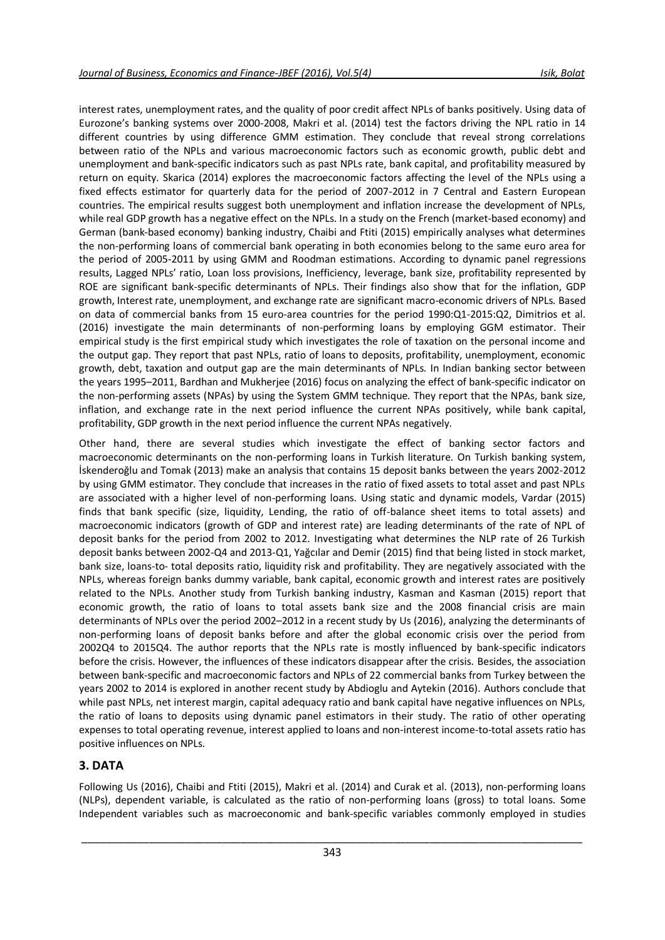interest rates, unemployment rates, and the quality of poor credit affect NPLs of banks positively. Using data of Eurozone's banking systems over 2000-2008, Makri et al. (2014) test the factors driving the NPL ratio in 14 different countries by using difference GMM estimation. They conclude that reveal strong correlations between ratio of the NPLs and various macroeconomic factors such as economic growth, public debt and unemployment and bank-specific indicators such as past NPLs rate, bank capital, and profitability measured by return on equity. Skarica (2014) explores the macroeconomic factors affecting the level of the NPLs using a fixed effects estimator for quarterly data for the period of 2007-2012 in 7 Central and Eastern European countries. The empirical results suggest both unemployment and inflation increase the development of NPLs, while real GDP growth has a negative effect on the NPLs. In a study on the French (market-based economy) and German (bank-based economy) banking industry, Chaibi and Ftiti (2015) empirically analyses what determines the non-performing loans of commercial bank operating in both economies belong to the same euro area for the period of 2005-2011 by using GMM and Roodman estimations. According to dynamic panel regressions results, Lagged NPLs' ratio, Loan loss provisions, Inefficiency, leverage, bank size, profitability represented by ROE are significant bank-specific determinants of NPLs. Their findings also show that for the inflation, GDP growth, Interest rate, unemployment, and exchange rate are significant macro-economic drivers of NPLs. Based on data of commercial banks from 15 euro-area countries for the period 1990:Q1-2015:Q2, Dimitrios et al. (2016) investigate the main determinants of non-performing loans by employing GGM estimator. Their empirical study is the first empirical study which investigates the role of taxation on the personal income and the output gap. They report that past NPLs, ratio of loans to deposits, profitability, unemployment, economic growth, debt, taxation and output gap are the main determinants of NPLs. In Indian banking sector between the years 1995–2011, Bardhan and Mukherjee (2016) focus on analyzing the effect of bank-specific indicator on the non-performing assets (NPAs) by using the System GMM technique. They report that the NPAs, bank size, inflation, and exchange rate in the next period influence the current NPAs positively, while bank capital, profitability, GDP growth in the next period influence the current NPAs negatively.

Other hand, there are several studies which investigate the effect of banking sector factors and macroeconomic determinants on the non-performing loans in Turkish literature. On Turkish banking system, İskenderoğlu and Tomak (2013) make an analysis that contains 15 deposit banks between the years 2002-2012 by using GMM estimator. They conclude that increases in the ratio of fixed assets to total asset and past NPLs are associated with a higher level of non-performing loans. Using static and dynamic models, Vardar (2015) finds that bank specific (size, liquidity, Lending, the ratio of off-balance sheet items to total assets) and macroeconomic indicators (growth of GDP and interest rate) are leading determinants of the rate of NPL of deposit banks for the period from 2002 to 2012. Investigating what determines the NLP rate of 26 Turkish deposit banks between 2002-Q4 and 2013-Q1, Yağcılar and Demir (2015) find that being listed in stock market, bank size, loans-to- total deposits ratio, liquidity risk and profitability. They are negatively associated with the NPLs, whereas foreign banks dummy variable, bank capital, economic growth and interest rates are positively related to the NPLs. Another study from Turkish banking industry, Kasman and Kasman (2015) report that economic growth, the ratio of loans to total assets bank size and the 2008 financial crisis are main determinants of NPLs over the period 2002–2012 in a recent study by Us (2016), analyzing the determinants of non-performing loans of deposit banks before and after the global economic crisis over the period from 2002Q4 to 2015Q4. The author reports that the NPLs rate is mostly influenced by bank-specific indicators before the crisis. However, the influences of these indicators disappear after the crisis. Besides, the association between bank-specific and macroeconomic factors and NPLs of 22 commercial banks from Turkey between the years 2002 to 2014 is explored in another recent study by Abdioglu and Aytekin (2016). Authors conclude that while past NPLs, net interest margin, capital adequacy ratio and bank capital have negative influences on NPLs, the ratio of loans to deposits using dynamic panel estimators in their study. The ratio of other operating expenses to total operating revenue, interest applied to loans and non-interest income-to-total assets ratio has positive influences on NPLs.

## **3. DATA**

Following Us (2016), Chaibi and Ftiti (2015), Makri et al. (2014) and Curak et al. (2013), non-performing loans (NLPs), dependent variable, is calculated as the ratio of non-performing loans (gross) to total loans. Some Independent variables such as macroeconomic and bank-specific variables commonly employed in studies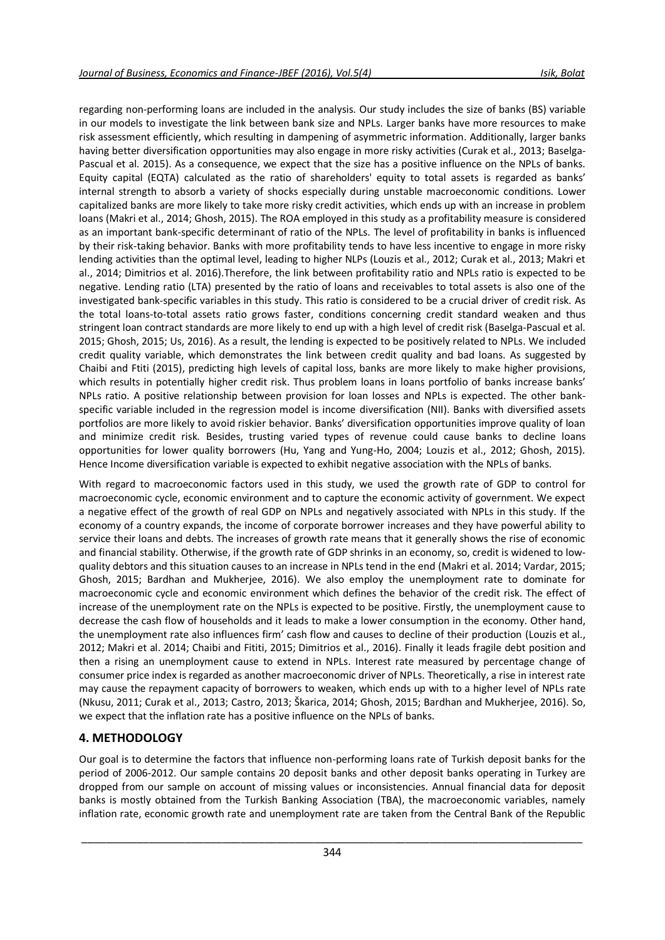regarding non-performing loans are included in the analysis. Our study includes the size of banks (BS) variable in our models to investigate the link between bank size and NPLs. Larger banks have more resources to make risk assessment efficiently, which resulting in dampening of asymmetric information. Additionally, larger banks having better diversification opportunities may also engage in more risky activities (Curak et al., 2013; Baselga-Pascual et al. 2015). As a consequence, we expect that the size has a positive influence on the NPLs of banks. Equity capital (EQTA) calculated as the ratio of shareholders' equity to total assets is regarded as banks' internal strength to absorb a variety of shocks especially during unstable macroeconomic conditions. Lower capitalized banks are more likely to take more risky credit activities, which ends up with an increase in problem loans (Makri et al., 2014; Ghosh, 2015). The ROA employed in this study as a profitability measure is considered as an important bank-specific determinant of ratio of the NPLs. The level of profitability in banks is influenced by their risk-taking behavior. Banks with more profitability tends to have less incentive to engage in more risky lending activities than the optimal level, leading to higher NLPs (Louzis et al., 2012; Curak et al., 2013; Makri et al., 2014; Dimitrios et al. 2016).Therefore, the link between profitability ratio and NPLs ratio is expected to be negative. Lending ratio (LTA) presented by the ratio of loans and receivables to total assets is also one of the investigated bank-specific variables in this study. This ratio is considered to be a crucial driver of credit risk. As the total loans-to-total assets ratio grows faster, conditions concerning credit standard weaken and thus stringent loan contract standards are more likely to end up with a high level of credit risk (Baselga-Pascual et al. 2015; Ghosh, 2015; Us, 2016). As a result, the lending is expected to be positively related to NPLs. We included credit quality variable, which demonstrates the link between credit quality and bad loans. As suggested by Chaibi and Ftiti (2015), predicting high levels of capital loss, banks are more likely to make higher provisions, which results in potentially higher credit risk. Thus problem loans in loans portfolio of banks increase banks' NPLs ratio. A positive relationship between provision for loan losses and NPLs is expected. The other bankspecific variable included in the regression model is income diversification (NII). Banks with diversified assets portfolios are more likely to avoid riskier behavior. Banks' diversification opportunities improve quality of loan and minimize credit risk. Besides, trusting varied types of revenue could cause banks to decline loans opportunities for lower quality borrowers (Hu, Yang and Yung-Ho, 2004; Louzis et al., 2012; Ghosh, 2015). Hence Income diversification variable is expected to exhibit negative association with the NPLs of banks.

With regard to macroeconomic factors used in this study, we used the growth rate of GDP to control for macroeconomic cycle, economic environment and to capture the economic activity of government. We expect a negative effect of the growth of real GDP on NPLs and negatively associated with NPLs in this study. If the economy of a country expands, the income of corporate borrower increases and they have powerful ability to service their loans and debts. The increases of growth rate means that it generally shows the rise of economic and financial stability. Otherwise, if the growth rate of GDP shrinks in an economy, so, credit is widened to lowquality debtors and this situation causes to an increase in NPLs tend in the end (Makri et al. 2014; Vardar, 2015; Ghosh, 2015; Bardhan and Mukherjee, 2016). We also employ the unemployment rate to dominate for macroeconomic cycle and economic environment which defines the behavior of the credit risk. The effect of increase of the unemployment rate on the NPLs is expected to be positive. Firstly, the unemployment cause to decrease the cash flow of households and it leads to make a lower consumption in the economy. Other hand, the unemployment rate also influences firm' cash flow and causes to decline of their production (Louzis et al., 2012; Makri et al. 2014; Chaibi and Fititi, 2015; Dimitrios et al., 2016). Finally it leads fragile debt position and then a rising an unemployment cause to extend in NPLs. Interest rate measured by percentage change of consumer price index is regarded as another macroeconomic driver of NPLs. Theoretically, a rise in interest rate may cause the repayment capacity of borrowers to weaken, which ends up with to a higher level of NPLs rate (Nkusu, 2011; Curak et al., 2013; Castro, 2013; Škarica, 2014; Ghosh, 2015; Bardhan and Mukherjee, 2016). So, we expect that the inflation rate has a positive influence on the NPLs of banks.

## **4. METHODOLOGY**

Our goal is to determine the factors that influence non-performing loans rate of Turkish deposit banks for the period of 2006-2012. Our sample contains 20 deposit banks and other deposit banks operating in Turkey are dropped from our sample on account of missing values or inconsistencies. Annual financial data for deposit banks is mostly obtained from the Turkish Banking Association (TBA), the macroeconomic variables, namely inflation rate, economic growth rate and unemployment rate are taken from the Central Bank of the Republic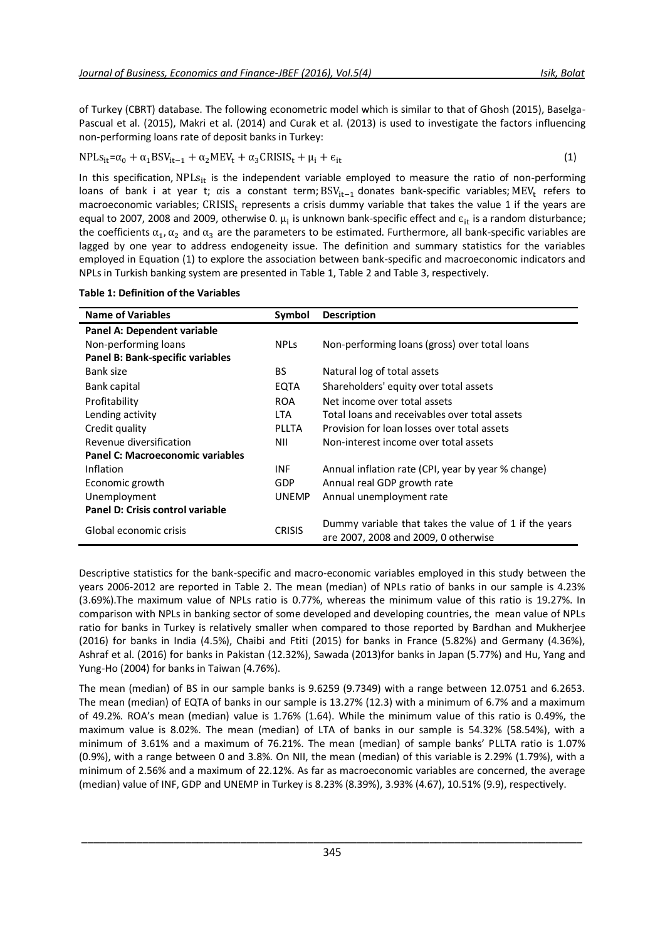of Turkey (CBRT) database. The following econometric model which is similar to that of Ghosh (2015), Baselga-Pascual et al. (2015), Makri et al. (2014) and Curak et al. (2013) is used to investigate the factors influencing non-performing loans rate of deposit banks in Turkey:

$$
NPLs_{it} = \alpha_0 + \alpha_1 BSV_{it-1} + \alpha_2 MEV_t + \alpha_3 CRISIS_t + \mu_i + \epsilon_{it}
$$
\n(1)

In this specification,  $NPLs_{it}$  is the independent variable employed to measure the ratio of non-performing loans of bank i at year t; αis a constant term;  $BSV_{it-1}$  donates bank-specific variables; MEV<sub>t</sub> refers to macroeconomic variables;  $CRISIS_t$  represents a crisis dummy variable that takes the value 1 if the years are equal to 2007, 2008 and 2009, otherwise 0.  $\mu_i$  is unknown bank-specific effect and  $\epsilon_{it}$  is a random disturbance; the coefficients  $\alpha_1, \alpha_2$  and  $\alpha_3$  are the parameters to be estimated. Furthermore, all bank-specific variables are lagged by one year to address endogeneity issue. The definition and summary statistics for the variables employed in Equation (1) to explore the association between bank-specific and macroeconomic indicators and NPLs in Turkish banking system are presented in Table 1, Table 2 and Table 3, respectively.

| <b>Name of Variables</b>         | Symbol        | <b>Description</b>                                                                            |
|----------------------------------|---------------|-----------------------------------------------------------------------------------------------|
| Panel A: Dependent variable      |               |                                                                                               |
| Non-performing loans             | <b>NPLs</b>   | Non-performing loans (gross) over total loans                                                 |
| Panel B: Bank-specific variables |               |                                                                                               |
| Bank size                        | BS.           | Natural log of total assets                                                                   |
| Bank capital                     | EQTA          | Shareholders' equity over total assets                                                        |
| Profitability                    | <b>ROA</b>    | Net income over total assets                                                                  |
| Lending activity                 | LTA           | Total loans and receivables over total assets                                                 |
| Credit quality                   | <b>PLLTA</b>  | Provision for loan losses over total assets                                                   |
| Revenue diversification          | NII           | Non-interest income over total assets                                                         |
| Panel C: Macroeconomic variables |               |                                                                                               |
| Inflation                        | <b>INF</b>    | Annual inflation rate (CPI, year by year % change)                                            |
| Economic growth                  | <b>GDP</b>    | Annual real GDP growth rate                                                                   |
| Unemployment                     | <b>UNEMP</b>  | Annual unemployment rate                                                                      |
| Panel D: Crisis control variable |               |                                                                                               |
| Global economic crisis           | <b>CRISIS</b> | Dummy variable that takes the value of 1 if the years<br>are 2007, 2008 and 2009, 0 otherwise |

**Table 1: Definition of the Variables**

Descriptive statistics for the bank-specific and macro-economic variables employed in this study between the years 2006-2012 are reported in Table 2. The mean (median) of NPLs ratio of banks in our sample is 4.23% (3.69%).The maximum value of NPLs ratio is 0.77%, whereas the minimum value of this ratio is 19.27%. In comparison with NPLs in banking sector of some developed and developing countries, the mean value of NPLs ratio for banks in Turkey is relatively smaller when compared to those reported by Bardhan and Mukherjee (2016) for banks in India (4.5%), Chaibi and Ftiti (2015) for banks in France (5.82%) and Germany (4.36%), Ashraf et al. (2016) for banks in Pakistan (12.32%), Sawada (2013)for banks in Japan (5.77%) and Hu, Yang and Yung-Ho (2004) for banks in Taiwan (4.76%).

The mean (median) of BS in our sample banks is 9.6259 (9.7349) with a range between 12.0751 and 6.2653. The mean (median) of EQTA of banks in our sample is 13.27% (12.3) with a minimum of 6.7% and a maximum of 49.2%. ROA's mean (median) value is 1.76% (1.64). While the minimum value of this ratio is 0.49%, the maximum value is 8.02%. The mean (median) of LTA of banks in our sample is 54.32% (58.54%), with a minimum of 3.61% and a maximum of 76.21%. The mean (median) of sample banks' PLLTA ratio is 1.07% (0.9%), with a range between 0 and 3.8%. On NII, the mean (median) of this variable is 2.29% (1.79%), with a minimum of 2.56% and a maximum of 22.12%. As far as macroeconomic variables are concerned, the average (median) value of INF, GDP and UNEMP in Turkey is 8.23% (8.39%), 3.93% (4.67), 10.51% (9.9), respectively.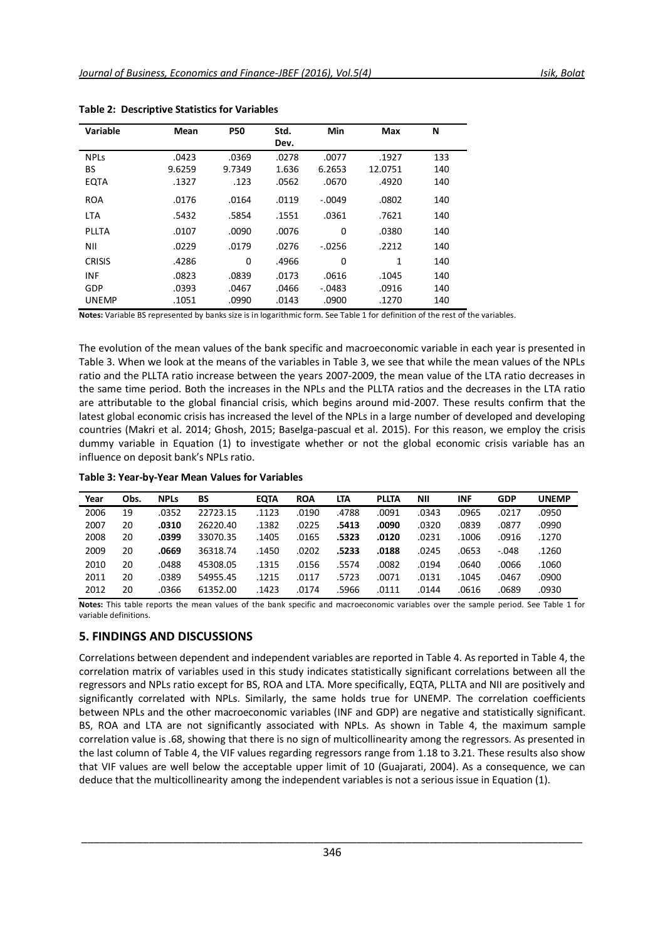| Variable      | Mean   | <b>P50</b> | Std.  | Min      | Max     | N   |
|---------------|--------|------------|-------|----------|---------|-----|
|               |        |            | Dev.  |          |         |     |
| <b>NPLS</b>   | .0423  | .0369      | .0278 | .0077    | .1927   | 133 |
| BS            | 9.6259 | 9.7349     | 1.636 | 6.2653   | 12.0751 | 140 |
| <b>EQTA</b>   | .1327  | .123       | .0562 | .0670    | .4920   | 140 |
| <b>ROA</b>    | .0176  | .0164      | .0119 | $-.0049$ | .0802   | 140 |
| <b>LTA</b>    | .5432  | .5854      | .1551 | .0361    | .7621   | 140 |
| PLLTA         | .0107  | .0090      | .0076 | $\Omega$ | .0380   | 140 |
| NII           | .0229  | .0179      | .0276 | $-.0256$ | .2212   | 140 |
| <b>CRISIS</b> | .4286  | $\Omega$   | .4966 | $\Omega$ | 1       | 140 |
| <b>INF</b>    | .0823  | .0839      | .0173 | .0616    | .1045   | 140 |
| GDP           | .0393  | .0467      | .0466 | $-.0483$ | .0916   | 140 |
| <b>UNEMP</b>  | .1051  | .0990      | .0143 | .0900    | .1270   | 140 |

**Table 2: Descriptive Statistics for Variables**

**Notes:** Variable BS represented by banks size is in logarithmic form. See Table 1 for definition of the rest of the variables.

The evolution of the mean values of the bank specific and macroeconomic variable in each year is presented in Table 3. When we look at the means of the variables in Table 3, we see that while the mean values of the NPLs ratio and the PLLTA ratio increase between the years 2007-2009, the mean value of the LTA ratio decreases in the same time period. Both the increases in the NPLs and the PLLTA ratios and the decreases in the LTA ratio are attributable to the global financial crisis, which begins around mid-2007. These results confirm that the latest global economic crisis has increased the level of the NPLs in a large number of developed and developing countries (Makri et al. 2014; Ghosh, 2015; Baselga-pascual et al. 2015). For this reason, we employ the crisis dummy variable in Equation (1) to investigate whether or not the global economic crisis variable has an influence on deposit bank's NPLs ratio.

| Year | Obs. | <b>NPLs</b> | BS       | <b>EOTA</b> | <b>ROA</b> | <b>LTA</b> | <b>PLLTA</b> | <b>NII</b> | <b>INF</b> | <b>GDP</b> | <b>UNEMP</b> |
|------|------|-------------|----------|-------------|------------|------------|--------------|------------|------------|------------|--------------|
| 2006 | 19   | .0352       | 22723.15 | .1123       | .0190      | .4788      | .0091        | .0343      | .0965      | .0217      | .0950        |
| 2007 | 20   | .0310       | 26220.40 | .1382       | .0225      | .5413      | .0090        | .0320      | .0839      | .0877      | .0990        |
| 2008 | 20   | .0399       | 33070.35 | .1405       | .0165      | .5323      | .0120        | .0231      | .1006      | .0916      | .1270        |
| 2009 | 20   | .0669       | 36318.74 | .1450       | .0202      | .5233      | .0188        | .0245      | .0653      | $-.048$    | .1260        |
| 2010 | 20   | .0488       | 45308.05 | .1315       | .0156      | .5574      | .0082        | .0194      | .0640      | .0066      | .1060        |
| 2011 | 20   | .0389       | 54955.45 | .1215       | .0117      | .5723      | .0071        | .0131      | .1045      | .0467      | .0900        |
| 2012 | 20   | .0366       | 61352.00 | .1423       | .0174      | .5966      | .0111        | .0144      | .0616      | .0689      | .0930        |

**Notes:** This table reports the mean values of the bank specific and macroeconomic variables over the sample period. See Table 1 for variable definitions.

## **5. FINDINGS AND DISCUSSIONS**

Correlations between dependent and independent variables are reported in Table 4. As reported in Table 4, the correlation matrix of variables used in this study indicates statistically significant correlations between all the regressors and NPLs ratio except for BS, ROA and LTA. More specifically, EQTA, PLLTA and NII are positively and significantly correlated with NPLs. Similarly, the same holds true for UNEMP. The correlation coefficients between NPLs and the other macroeconomic variables (INF and GDP) are negative and statistically significant. BS, ROA and LTA are not significantly associated with NPLs. As shown in Table 4, the maximum sample correlation value is .68, showing that there is no sign of multicollinearity among the regressors. As presented in the last column of Table 4, the VIF values regarding regressors range from 1.18 to 3.21. These results also show that VIF values are well below the acceptable upper limit of 10 (Guajarati, 2004). As a consequence, we can deduce that the multicollinearity among the independent variables is not a serious issue in Equation (1).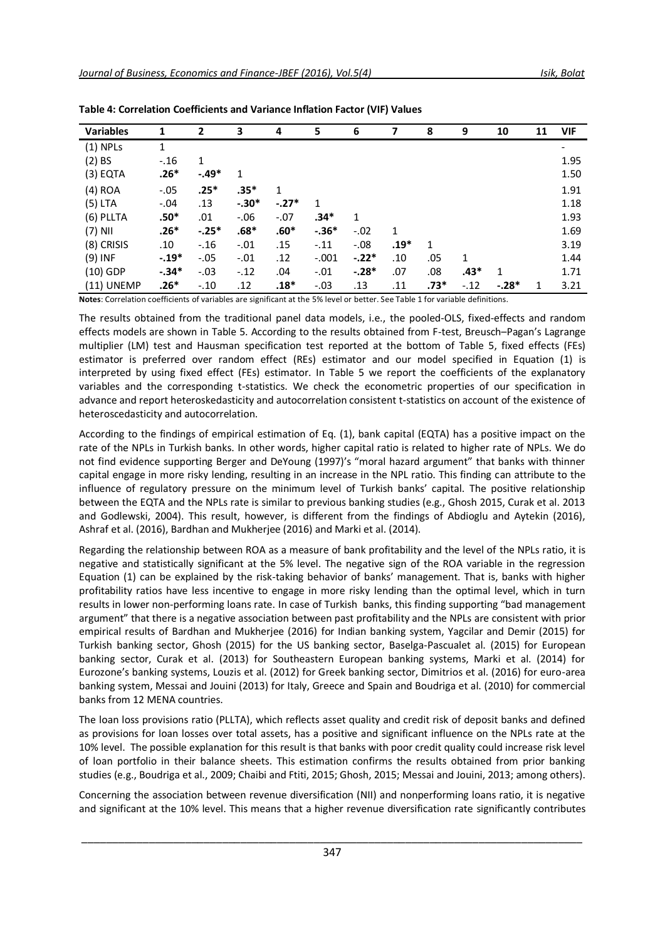| <b>Variables</b> | 1       | $\overline{2}$ | 3       | 4       | 5       | 6       | 7      | 8      | 9      | 10      | 11 | <b>VIF</b> |
|------------------|---------|----------------|---------|---------|---------|---------|--------|--------|--------|---------|----|------------|
| $(1)$ NPLs       | 1       |                |         |         |         |         |        |        |        |         |    |            |
| $(2)$ BS         | $-.16$  | 1              |         |         |         |         |        |        |        |         |    | 1.95       |
| $(3)$ EQTA       | $.26*$  | $-.49*$        | 1       |         |         |         |        |        |        |         |    | 1.50       |
| $(4)$ ROA        | $-.05$  | $.25*$         | $.35*$  | 1       |         |         |        |        |        |         |    | 1.91       |
| $(5)$ LTA        | $-.04$  | .13            | $-.30*$ | $-.27*$ | 1       |         |        |        |        |         |    | 1.18       |
| (6) PLLTA        | $.50*$  | .01            | $-.06$  | $-.07$  | $.34*$  | 1       |        |        |        |         |    | 1.93       |
| $(7)$ NII        | $.26*$  | $-.25*$        | $.68*$  | $.60*$  | $-.36*$ | $-.02$  | 1      |        |        |         |    | 1.69       |
| (8) CRISIS       | .10     | $-.16$         | $-.01$  | .15     | $-.11$  | $-.08$  | $.19*$ | 1      |        |         |    | 3.19       |
| $(9)$ INF        | $-.19*$ | $-.05$         | $-.01$  | .12     | $-.001$ | $-.22*$ | .10    | .05    | 1      |         |    | 1.44       |
| $(10)$ GDP       | $-.34*$ | $-.03$         | $-.12$  | .04     | $-.01$  | $-.28*$ | .07    | .08    | $.43*$ | 1       |    | 1.71       |
| (11) UNEMP       | $.26*$  | $-.10$         | .12     | $.18*$  | $-.03$  | .13     | .11    | $.73*$ | $-.12$ | $-.28*$ | 1  | 3.21       |

| Table 4: Correlation Coefficients and Variance Inflation Factor (VIF) Values |  |  |  |  |  |  |
|------------------------------------------------------------------------------|--|--|--|--|--|--|
|------------------------------------------------------------------------------|--|--|--|--|--|--|

**Notes**: Correlation coefficients of variables are significant at the 5% level or better. See Table 1 for variable definitions.

The results obtained from the traditional panel data models, i.e., the pooled-OLS, fixed-effects and random effects models are shown in Table 5. According to the results obtained from F-test, Breusch–Pagan's Lagrange multiplier (LM) test and Hausman specification test reported at the bottom of Table 5, fixed effects (FEs) estimator is preferred over random effect (REs) estimator and our model specified in Equation (1) is interpreted by using fixed effect (FEs) estimator. In Table 5 we report the coefficients of the explanatory variables and the corresponding t-statistics. We check the econometric properties of our specification in advance and report heteroskedasticity and autocorrelation consistent t-statistics on account of the existence of heteroscedasticity and autocorrelation.

According to the findings of empirical estimation of Eq. (1), bank capital (EQTA) has a positive impact on the rate of the NPLs in Turkish banks. In other words, higher capital ratio is related to higher rate of NPLs. We do not find evidence supporting Berger and DeYoung (1997)'s "moral hazard argument" that banks with thinner capital engage in more risky lending, resulting in an increase in the NPL ratio. This finding can attribute to the influence of regulatory pressure on the minimum level of Turkish banks' capital. The positive relationship between the EQTA and the NPLs rate is similar to previous banking studies (e.g., Ghosh 2015, Curak et al. 2013 and Godlewski, 2004). This result, however, is different from the findings of Abdioglu and Aytekin (2016), Ashraf et al. (2016), Bardhan and Mukherjee (2016) and Marki et al. (2014).

Regarding the relationship between ROA as a measure of bank profitability and the level of the NPLs ratio, it is negative and statistically significant at the 5% level. The negative sign of the ROA variable in the regression Equation (1) can be explained by the risk-taking behavior of banks' management. That is, banks with higher profitability ratios have less incentive to engage in more risky lending than the optimal level, which in turn results in lower non-performing loans rate. In case of Turkish banks, this finding supporting "bad management argument" that there is a negative association between past profitability and the NPLs are consistent with prior empirical results of Bardhan and Mukherjee (2016) for Indian banking system, Yagcilar and Demir (2015) for Turkish banking sector, Ghosh (2015) for the US banking sector, Baselga-Pascualet al. (2015) for European banking sector, Curak et al. (2013) for Southeastern European banking systems, Marki et al. (2014) for Eurozone's banking systems, Louzis et al. (2012) for Greek banking sector, Dimitrios et al. (2016) for euro-area banking system, Messai and Jouini (2013) for Italy, Greece and Spain and Boudriga et al. (2010) for commercial banks from 12 MENA countries.

The loan loss provisions ratio (PLLTA), which reflects asset quality and credit risk of deposit banks and defined as provisions for loan losses over total assets, has a positive and significant influence on the NPLs rate at the 10% level. The possible explanation for this result is that banks with poor credit quality could increase risk level of loan portfolio in their balance sheets. This estimation confirms the results obtained from prior banking studies (e.g., Boudriga et al., 2009; Chaibi and Ftiti, 2015; Ghosh, 2015; Messai and Jouini, 2013; among others).

Concerning the association between revenue diversification (NII) and nonperforming loans ratio, it is negative and significant at the 10% level. This means that a higher revenue diversification rate significantly contributes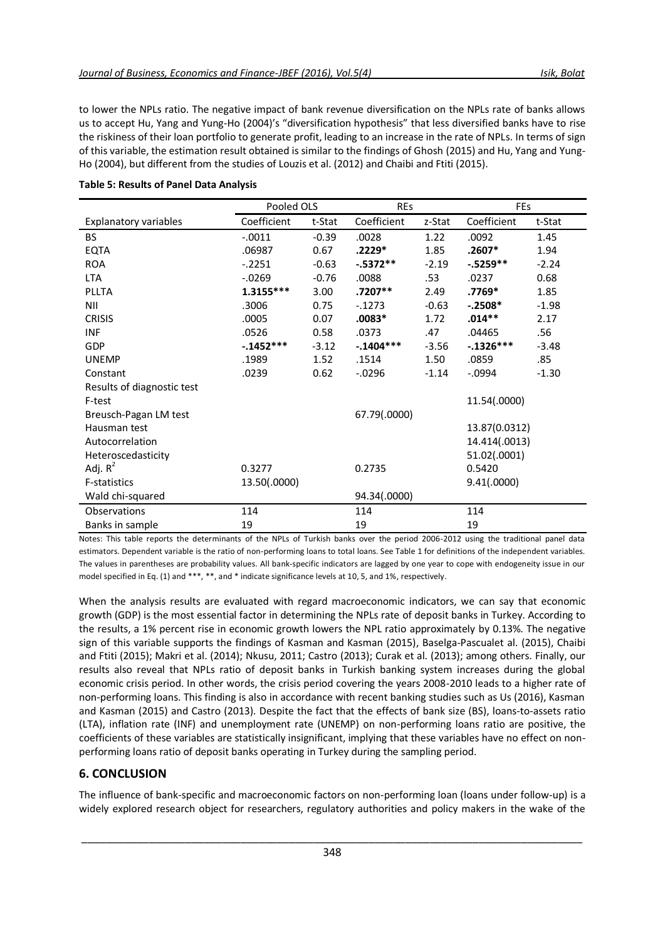to lower the NPLs ratio. The negative impact of bank revenue diversification on the NPLs rate of banks allows us to accept Hu, Yang and Yung-Ho (2004)'s "diversification hypothesis" that less diversified banks have to rise the riskiness of their loan portfolio to generate profit, leading to an increase in the rate of NPLs. In terms of sign of this variable, the estimation result obtained is similar to the findings of Ghosh (2015) and Hu, Yang and Yung-Ho (2004), but different from the studies of Louzis et al. (2012) and Chaibi and Ftiti (2015).

|                              | Pooled OLS   |         | <b>REs</b>   |         | <b>FEs</b>    |         |  |
|------------------------------|--------------|---------|--------------|---------|---------------|---------|--|
| <b>Explanatory variables</b> | Coefficient  | t-Stat  | Coefficient  | z-Stat  | Coefficient   | t-Stat  |  |
| <b>BS</b>                    | $-.0011$     | $-0.39$ | .0028        | 1.22    | .0092         | 1.45    |  |
| <b>EQTA</b>                  | .06987       | 0.67    | $.2229*$     | 1.85    | $.2607*$      | 1.94    |  |
| <b>ROA</b>                   | $-.2251$     | $-0.63$ | $-.5372**$   | $-2.19$ | $-.5259**$    | $-2.24$ |  |
| LTA                          | $-0.0269$    | $-0.76$ | .0088        | .53     | .0237         | 0.68    |  |
| PLLTA                        | 1.3155***    | 3.00    | $.7207**$    | 2.49    | .7769*        | 1.85    |  |
| <b>NII</b>                   | .3006        | 0.75    | $-1273$      | $-0.63$ | $-.2508*$     | $-1.98$ |  |
| <b>CRISIS</b>                | .0005        | 0.07    | $.0083*$     | 1.72    | $.014**$      | 2.17    |  |
| <b>INF</b>                   | .0526        | 0.58    | .0373        | .47     | .04465        | .56     |  |
| GDP                          | -.1452***    | $-3.12$ | $-.1404***$  | $-3.56$ | $-.1326***$   | $-3.48$ |  |
| <b>UNEMP</b>                 | .1989        | 1.52    | .1514        | 1.50    | .0859         | .85     |  |
| Constant                     | .0239        | 0.62    | $-0.0296$    | $-1.14$ | $-.0994$      | $-1.30$ |  |
| Results of diagnostic test   |              |         |              |         |               |         |  |
| F-test                       |              |         |              |         | 11.54(.0000)  |         |  |
| Breusch-Pagan LM test        |              |         | 67.79(.0000) |         |               |         |  |
| Hausman test                 |              |         |              |         | 13.87(0.0312) |         |  |
| Autocorrelation              |              |         |              |         | 14.414(.0013) |         |  |
| Heteroscedasticity           |              |         |              |         | 51.02(.0001)  |         |  |
| Adj. $R^2$                   | 0.3277       |         | 0.2735       |         | 0.5420        |         |  |
| <b>F-statistics</b>          | 13.50(.0000) |         |              |         | 9.41(.0000)   |         |  |
| Wald chi-squared             |              |         | 94.34(.0000) |         |               |         |  |
| Observations                 | 114          |         | 114          |         | 114           |         |  |
| Banks in sample              | 19           |         | 19           |         | 19            |         |  |

### **Table 5: Results of Panel Data Analysis**

Notes: This table reports the determinants of the NPLs of Turkish banks over the period 2006-2012 using the traditional panel data estimators. Dependent variable is the ratio of non-performing loans to total loans. See Table 1 for definitions of the independent variables. The values in parentheses are probability values. All bank-specific indicators are lagged by one year to cope with endogeneity issue in our model specified in Eq. (1) and \*\*\*, \*\*, and \* indicate significance levels at 10, 5, and 1%, respectively.

When the analysis results are evaluated with regard macroeconomic indicators, we can say that economic growth (GDP) is the most essential factor in determining the NPLs rate of deposit banks in Turkey. According to the results, a 1% percent rise in economic growth lowers the NPL ratio approximately by 0.13%. The negative sign of this variable supports the findings of Kasman and Kasman (2015), Baselga-Pascualet al. (2015), Chaibi and Ftiti (2015); Makri et al. (2014); Nkusu, 2011; Castro (2013); Curak et al. (2013); among others. Finally, our results also reveal that NPLs ratio of deposit banks in Turkish banking system increases during the global economic crisis period. In other words, the crisis period covering the years 2008-2010 leads to a higher rate of non-performing loans. This finding is also in accordance with recent banking studies such as Us (2016), Kasman and Kasman (2015) and Castro (2013). Despite the fact that the effects of bank size (BS), loans-to-assets ratio (LTA), inflation rate (INF) and unemployment rate (UNEMP) on non-performing loans ratio are positive, the coefficients of these variables are statistically insignificant, implying that these variables have no effect on nonperforming loans ratio of deposit banks operating in Turkey during the sampling period.

# **6. CONCLUSION**

The influence of bank-specific and macroeconomic factors on non-performing loan (loans under follow-up) is a widely explored research object for researchers, regulatory authorities and policy makers in the wake of the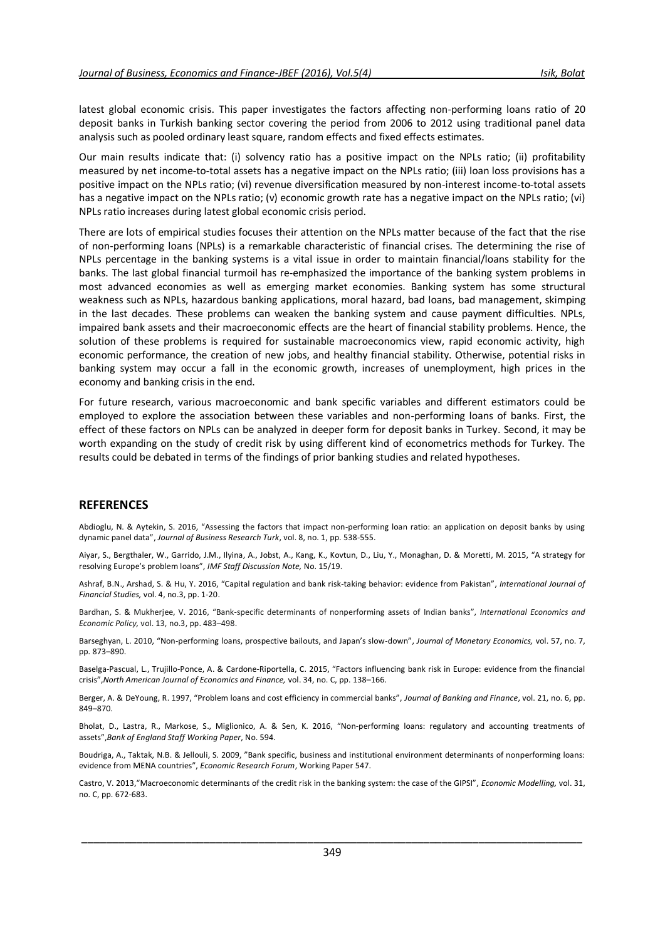latest global economic crisis. This paper investigates the factors affecting non-performing loans ratio of 20 deposit banks in Turkish banking sector covering the period from 2006 to 2012 using traditional panel data analysis such as pooled ordinary least square, random effects and fixed effects estimates.

Our main results indicate that: (i) solvency ratio has a positive impact on the NPLs ratio; (ii) profitability measured by net income-to-total assets has a negative impact on the NPLs ratio; (iii) loan loss provisions has a positive impact on the NPLs ratio; (vi) revenue diversification measured by non-interest income-to-total assets has a negative impact on the NPLs ratio; (v) economic growth rate has a negative impact on the NPLs ratio; (vi) NPLs ratio increases during latest global economic crisis period.

There are lots of empirical studies focuses their attention on the NPLs matter because of the fact that the rise of non-performing loans (NPLs) is a remarkable characteristic of financial crises. The determining the rise of NPLs percentage in the banking systems is a vital issue in order to maintain financial/loans stability for the banks. The last global financial turmoil has re-emphasized the importance of the banking system problems in most advanced economies as well as emerging market economies. Banking system has some structural weakness such as NPLs, hazardous banking applications, moral hazard, bad loans, bad management, skimping in the last decades. These problems can weaken the banking system and cause payment difficulties. NPLs, impaired bank assets and their macroeconomic effects are the heart of financial stability problems. Hence, the solution of these problems is required for sustainable macroeconomics view, rapid economic activity, high economic performance, the creation of new jobs, and healthy financial stability. Otherwise, potential risks in banking system may occur a fall in the economic growth, increases of unemployment, high prices in the economy and banking crisis in the end.

For future research, various macroeconomic and bank specific variables and different estimators could be employed to explore the association between these variables and non-performing loans of banks. First, the effect of these factors on NPLs can be analyzed in deeper form for deposit banks in Turkey. Second, it may be worth expanding on the study of credit risk by using different kind of econometrics methods for Turkey. The results could be debated in terms of the findings of prior banking studies and related hypotheses.

### **REFERENCES**

Abdioglu, N. & Aytekin, S. 2016, "Assessing the factors that impact non-performing loan ratio: an application on deposit banks by using dynamic panel data", *Journal of Business Research Turk*, vol. 8, no. 1, pp. 538-555.

Aiyar, S., Bergthaler, W., Garrido, J.M., Ilyina, A., Jobst, A., Kang, K., Kovtun, D., Liu, Y., Monaghan, D. & Moretti, M. 2015, "A strategy for resolving Europe's problem loans", *IMF Staff Discussion Note,* No. 15/19.

Ashraf, B.N., Arshad, S. & Hu, Y. 2016, "Capital regulation and bank risk-taking behavior: evidence from Pakistan", *International Journal of Financial Studies,* vol. 4, no.3, pp. 1-20.

Bardhan, S. & Mukherjee, V. 2016, "Bank-specific determinants of nonperforming assets of Indian banks", *International Economics and Economic Policy,* vol. 13, no.3, pp. 483–498.

Barseghyan, L. 2010, "Non-performing loans, prospective bailouts, and Japan's slow-down", *Journal of Monetary Economics,* vol. 57, no. 7, pp. 873–890.

Baselga-Pascual, L., Trujillo-Ponce, A. & Cardone-Riportella, C. 2015, "Factors influencing bank risk in Europe: evidence from the financial crisis",*North American Journal of Economics and Finance,* vol. 34, no. C, pp. 138–166.

Berger, A. & DeYoung, R. 1997, "Problem loans and cost efficiency in commercial banks", *Journal of Banking and Finance*, vol. 21, no. 6, pp. 849–870.

Bholat, D., Lastra, R., Markose, S., Miglionico, A. & Sen, K. 2016, "Non-performing loans: regulatory and accounting treatments of assets",*Bank of England Staff Working Paper*, No. 594.

Boudriga, A., Taktak, N.B. & Jellouli, S. 2009, "Bank specific, business and institutional environment determinants of nonperforming loans: evidence from MENA countries", *Economic Research Forum*, Working Paper 547.

Castro, V. 2013,"Macroeconomic determinants of the credit risk in the banking system: the case of the GIPSI", *Economic Modelling,* vol. 31, no. C, pp. 672-683.